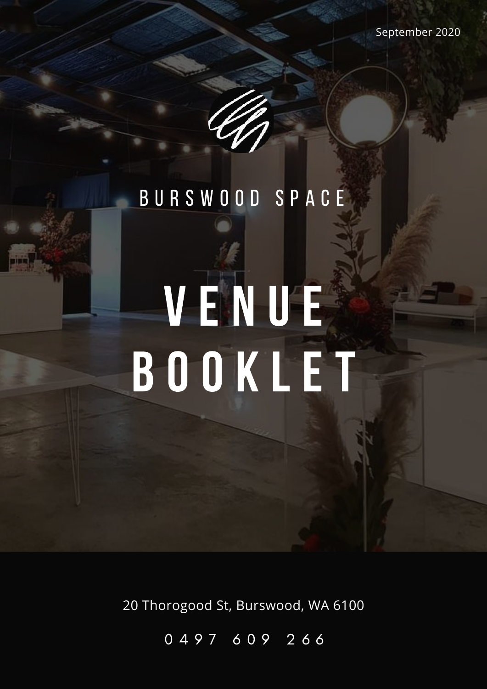

# V E N U E B O O K L E T

20 Thorogood St, Burswood, WA 6100

0 4 9 7 6 0 9 2 6 6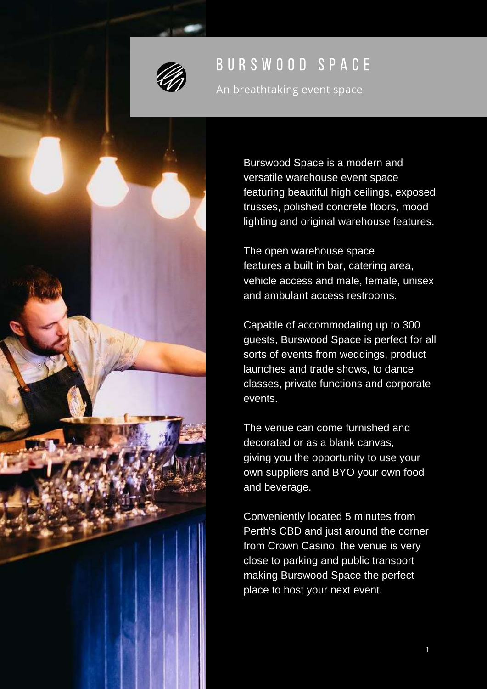

An breathtaking event space

Burswood Space is a modern and versatile warehouse event space featuring beautiful high ceilings, exposed trusses, polished concrete floors, mood lighting and original warehouse features.

The open warehouse space features a built in bar, catering area, vehicle access and male, female, unisex and ambulant access restrooms.

Capable of accommodating up to 300 guests, Burswood Space is perfect for all sorts of events from weddings, product launches and trade shows, to dance classes, private functions and corporate events.

The venue can come furnished and decorated or as a blank canvas, giving you the opportunity to use your own suppliers and BYO your own food and beverage.

Conveniently located 5 minutes from Perth's CBD and just around the corner from Crown Casino, the venue is very close to parking and public transport making Burswood Space the perfect place to host your next event.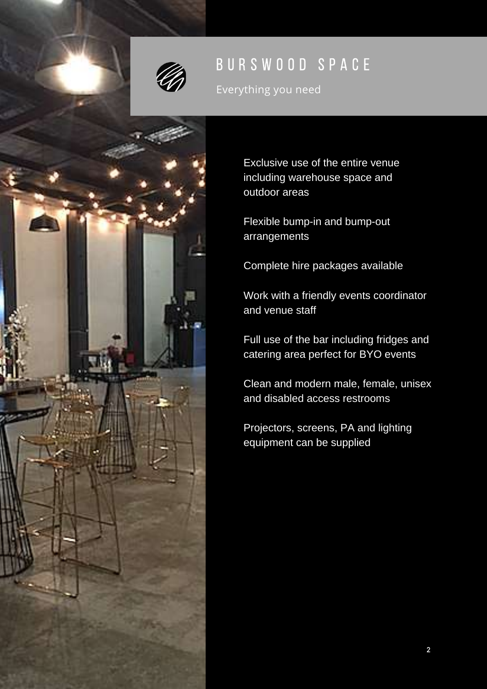

Everything you need

Exclusive use of the entire venue including warehouse space and outdoor areas Flexible bump-in and bump-out arrangements

Complete hire packages available

Work with a friendly events coordinator and venue staff

Full use of the bar including fridges and catering area perfect for BYO events

Clean and modern male, female, unisex and disabled access restrooms

Projectors, screens, PA and lighting equipment can be supplied

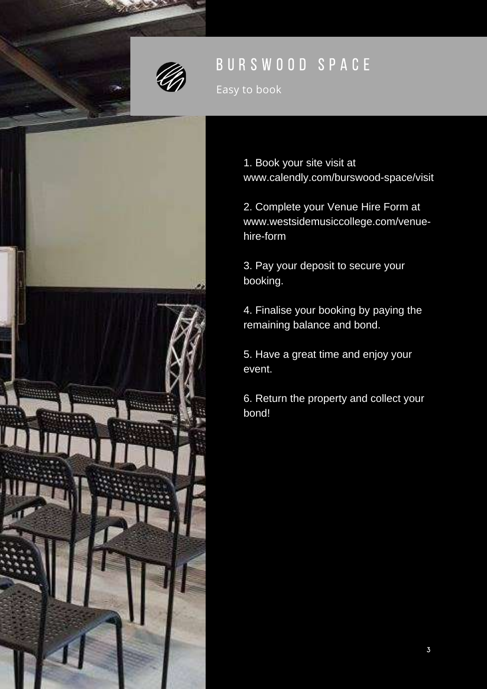

Easy to book



1. Book your site visit at www.calendly.com/burswood-space/visit

2. Complete your Venue Hire Form at www.westsidemusiccollege.com/venuehire-form

3. Pay your deposit to secure your booking.

4. Finalise your booking by paying the remaining balance and bond.

5. Have a great time and enjoy your event.

6. Return the property and collect your bond!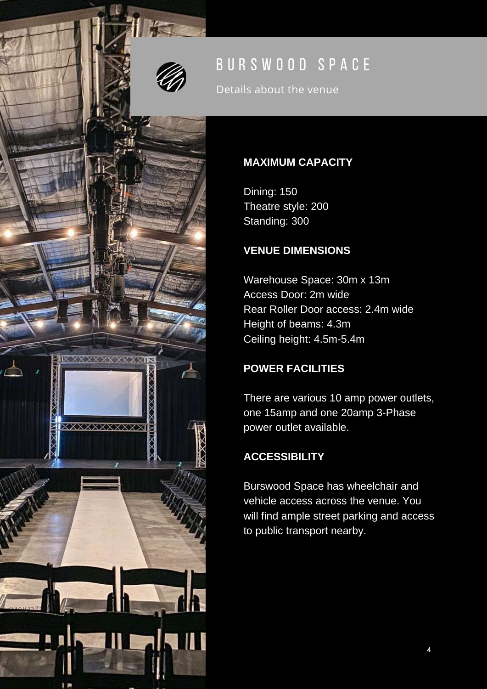Details about the venue

#### **MAXIMUM CAPACITY**

Dining: 150 Theatre style: 200 Standing: 300

#### **VENUE DIMENSIONS**

Warehouse Space: 30m x 13m Access Door: 2m wide Rear Roller Door access: 2.4m wide Height of beams: 4.3m Ceiling height: 4.5m-5.4m

#### **POWER FACILITIES**

There are various 10 amp power outlets, one 15amp and one 20amp 3-Phase power outlet available.

#### **ACCESSIBILITY**

xxxxxxxxxxx

Burswood Space has wheelchair and vehicle access across the venue. You will find ample street parking and access to public transport nearby.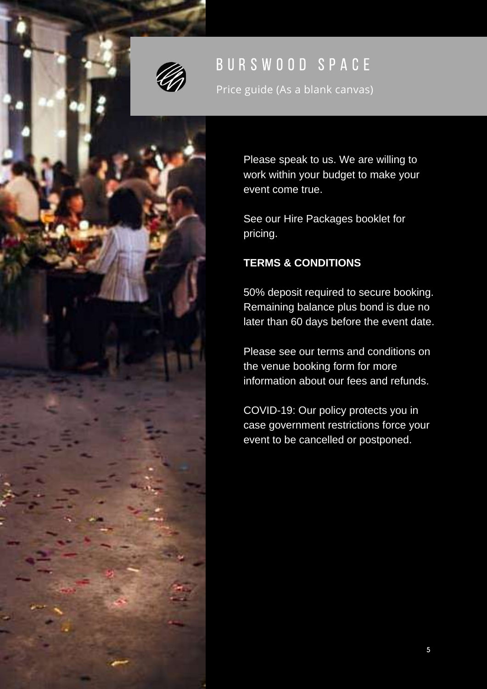

Price guide (As a blank canvas)

Please speak to us. We are willing to work within your budget to make your event come true.

See our Hire Packages booklet for pricing.

#### **TERMS & CONDITIONS**

50% deposit required to secure booking. Remaining balance plus bond is due no later than 60 days before the event date.

Please see our terms and conditions on the venue booking form for more information about our fees and refunds.

COVID-19: Our policy protects you in case government restrictions force your event to be cancelled or postponed.